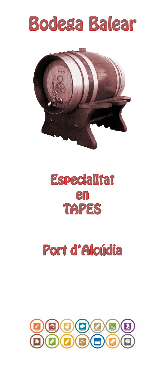





## Port d'Alcúdia

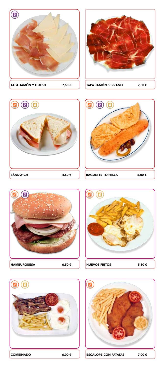













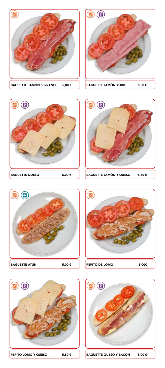

















PEPITO LOMO Y QUESO 5,50 € BAGUETTE QUESO Y BACON 5,00 €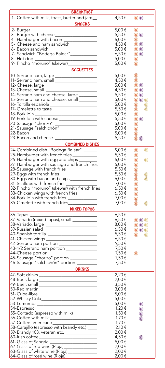| <b>BREAKFAST</b>                                                                                                      |               |                                     |
|-----------------------------------------------------------------------------------------------------------------------|---------------|-------------------------------------|
|                                                                                                                       |               | $\circledcirc$                      |
| 1- Coffee with milk, toast, butter and jam_                                                                           | $4,50 \notin$ |                                     |
| <b>SNACKS</b>                                                                                                         |               |                                     |
|                                                                                                                       | 5,00 €        | $_{\textstyle\odot}$                |
| 3- Burger with cheese____________________                                                                             | 5,50 €        | 00                                  |
|                                                                                                                       |               | 0                                   |
| 4- Hamburger with bacon ________________                                                                              | $6,00 \notin$ |                                     |
| 5- Cheese and ham sandwich _____________                                                                              | 4,50€         | $\circledcirc$                      |
| 6- Bacon sandwich __________________________<br>7- Sandwich "Bodega Balear"____________                               | 5,00€         | $\circledcirc$                      |
|                                                                                                                       | 6,50€         | 00                                  |
|                                                                                                                       | 5,00 €        | 0                                   |
|                                                                                                                       | 5,00 €        | $\circledcirc$                      |
|                                                                                                                       |               |                                     |
| <b>BAGUETTES</b>                                                                                                      |               |                                     |
| 10-Serrano ham, large _____________________                                                                           | 5,00 €        | 0                                   |
| 11- Serrano ham, small _____________________                                                                          | 4,50€         | $\circledcirc$                      |
| 12- Cheese, large ________________________                                                                            | 5,00 €        | $\circledcirc$                      |
| 13-Cheese, small __________________________                                                                           | 4,50€         | $\circledcirc$                      |
| 14-Serrano ham and cheese, large _______                                                                              | 5,50€         | 00                                  |
|                                                                                                                       |               |                                     |
| 15-Serrano ham and cheese, small <i>_________</i>                                                                     | 5,00 €        | $\mathbf{0} \mathbf{0} \mathbf{0}$  |
| 16-Tortilla española _______________________                                                                          | $5,00 \in$    | 0<br>O                              |
| 17- Omelette to taste_____________________                                                                            | 5,50€         | O<br>$^{\circ}$                     |
| 18-Pork loin ________________________________                                                                         | 5,00 €        | 0                                   |
| 19- Pork loin with cheese _________________                                                                           | 5,50 €        | 00                                  |
|                                                                                                                       | 5,00 €        |                                     |
| 20-Sausage "chorizo" ___________________                                                                              |               | ۰                                   |
| 21-Sausage "salchichón" ________________                                                                              | 5,00 €        | $\textcircled{\scriptsize{2}}$      |
| 22-Bacon ___________________________________                                                                          | 5,00 €        | $\bm{\mathbb{O}}$                   |
| 23-Bacon and cheese <u>successive and the set of the set of the set of the set of the set of the set of the set o</u> | 5,50 €        | 00                                  |
| <b>COMBINED DISHES</b>                                                                                                |               |                                     |
|                                                                                                                       |               |                                     |
| 24-Combined dish "Bodega Balear" ______                                                                               | 9,00€         | o<br>$\circledcirc$                 |
| 25-Hamburger with french fries __________                                                                             | 5,50€         | 0                                   |
| 26-Hamburger with egg and chips                                                                                       | $6,00 \notin$ | $\circledcirc$<br>0                 |
| 27- Hamburger with sausage and french fries                                                                           | $6,00 \notin$ | 0                                   |
| 28-Sausage with french fries_______________                                                                           | 5,50€         |                                     |
|                                                                                                                       |               | $\textcircled{\scriptsize{2}}$      |
| 29-Eggs with french fries_________________                                                                            | 5,50€         | $\textcircled{\scriptsize{2}}$<br>o |
| 30-Eggs with bacon and chips ____________                                                                             | $6,00 \notin$ | 0<br>O                              |
| 31- Scallops with french fries<br>32- Pincho "moruno" (skewer) with french fries                                      | 7,00 €        | 0                                   |
|                                                                                                                       | 6,50€         | 0                                   |
| 33-Chicken wings with french fries ________                                                                           | 6,50€         | $\textcircled{\scriptsize{2}}$      |
| 34-Pork loin with french fries _____________                                                                          | 7,00 €        |                                     |
|                                                                                                                       |               | 0                                   |
| 35-Omelette with french fries____________                                                                             | 7,00 €        | 0<br>o                              |
| <b>MIXED TAPAS</b>                                                                                                    |               |                                     |
| 36-Tapas _                                                                                                            | 6,50€         |                                     |
|                                                                                                                       | $6,50 \notin$ | $\mathbf{0}$ 0 $\mathbf{0}$         |
|                                                                                                                       | 8,00€         |                                     |
| 38-Variado, large ___________________________<br>39-Russian salad ___________________________                         |               | $\circledcirc$                      |
|                                                                                                                       | 6,50€         | $\circ$ 0                           |
| 40-Spanish tortilla ________________________                                                                          | 5,50 €        | $\bullet$<br>$\circledR$            |
| 41- Chicken wings __________________________                                                                          | 6,50€         |                                     |
| 42- Serrano ham portion ____________________                                                                          | 9,50€         |                                     |
| 43-1/2 Serrano ham portion _______________                                                                            | 7,50€         |                                     |
| 44-Cheese portion______________________                                                                               | 7,50€         | $\circ$                             |
| 45-Sausage "chorizo" portion _____________                                                                            |               |                                     |
|                                                                                                                       | 7,50€         |                                     |
| 46-Sausage "salchichón" portion _________                                                                             | 7,50€         |                                     |
| <b>DRINKS</b><br><u> 1989 - Johann Barn, mars ann an t-</u>                                                           |               |                                     |
| 47- Soft drinks _________________________________                                                                     | 2,20€         |                                     |
|                                                                                                                       | 2,00 €        |                                     |
| 48-Beer, large ______________________________                                                                         | 3,50€         |                                     |
|                                                                                                                       |               |                                     |
| 50-Red martini ___________________________                                                                            | 3,00€         |                                     |
| 51- Cuba-libre _____________________________                                                                          | 5,00€         |                                     |
| 52-Whisky Cola_____________________________                                                                           | 5,00 €        |                                     |
| 53-Lumumba_______________________________                                                                             | 5,00€         | $\circledcirc$                      |
|                                                                                                                       | 1,20 €        | 0                                   |
|                                                                                                                       | 1,50 €        | $\circledR$                         |
|                                                                                                                       | 1,70 €        |                                     |
| 56-Coffee with milk _______________________                                                                           |               | $\circledR$                         |
| 57- Coffee americano________________________                                                                          | 1,70 €        |                                     |
| 58-Carajillo (espresso with brandy etc.) ___                                                                          | 2,10 €        |                                     |
| 59-Brandy 103, veteran etc. _______________                                                                           | 2,00€         |                                     |
| 60-Irish coffee _______________________________                                                                       | 4,50€         | $\circledR$                         |
| 61- Glass of Sangria <u>______________________</u>                                                                    | 5,00€         |                                     |
| 62-Glass of red wine (Rioja)________________                                                                          | 2,00€         |                                     |
|                                                                                                                       |               |                                     |
| 63-Glass of white wine (Rioja) _____________                                                                          | 2,00 €        |                                     |
| 64-Glass of rosé wine (Rioja)_______________                                                                          | 2,00€         |                                     |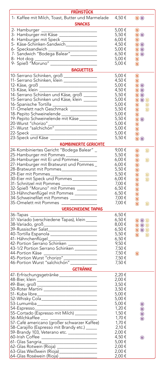| <b>FRÜHSTÜCK</b>                                                                                       |               |                                         |
|--------------------------------------------------------------------------------------------------------|---------------|-----------------------------------------|
| 1- Kaffee mit Milch, Toast, Butter und Marmelade<br><b>SNACKS</b>                                      | 4,50€         | $\circledcirc$                          |
|                                                                                                        |               |                                         |
| 2- Hamburger<br>3- Hamburger mit Käse _________________                                                | 5,00 €        | $\circledcirc$                          |
|                                                                                                        | 5,50 €        | 00                                      |
| 4- Hamburger mit Speck                                                                                 | 6,00 €        | 0                                       |
| 5- Käse-Schinken-Sandwich______________                                                                | 4,50 €        | 00                                      |
| 6- Specksandwich __________________________<br>7- Sandwich "Bodega Balear"____________                 | 5,00 €        | 00                                      |
|                                                                                                        | 6,50 €        | 00                                      |
|                                                                                                        | 5,00 €        | $\bm{\mathbb{O}}$                       |
|                                                                                                        | 5,00 €        | 0                                       |
| <b>BAGUETTES</b>                                                                                       |               |                                         |
| 10-Serrano Schinken, groß _______________                                                              | 5,00€         | 0                                       |
| 11- Serrano Schinken, klein _______________                                                            | 4,50 €        | O                                       |
| 12- Käse, groß _______________________________                                                         | 5,00 €        | 00                                      |
|                                                                                                        | 4,50 €        |                                         |
| 13-Käse, klein ______________________________                                                          |               | <b>00</b>                               |
| 14-Serrano Schinken und Käse, groß ______                                                              | 5,50 €        | 00                                      |
| 15-Serrano Schinken und Käse, klein ______                                                             | 5,00 €        | $\mathbf{0} \mathbf{0} \mathbf{0}$      |
|                                                                                                        | 5,00 €        | $\bigcirc$<br>O                         |
|                                                                                                        | 5,50 €        | $\circledcirc$<br>O                     |
| 18-Pepito Schweinelende ________________<br>19-Pepito Schweinelende mit Käse _______                   | 5,00€         | 0                                       |
|                                                                                                        | $5,50 \in$    | 00                                      |
|                                                                                                        | 5,00 €        |                                         |
|                                                                                                        | 5,00 €        | 8                                       |
|                                                                                                        | 5,00 €        | 0                                       |
|                                                                                                        | 5,50 €        | 00                                      |
|                                                                                                        |               |                                         |
| <b>KOMBINIERTE GERICHTE</b>                                                                            |               |                                         |
| 24-Kombiniertes Gericht "Bodega Balear" _                                                              | 9,00€         | 0<br>$^{\circ}$                         |
| 25-Hamburger mit Pommes ______________                                                                 | 5,50 €        | 0                                       |
| 26-Hamburger mit Ei und Pommes______                                                                   | $6,00 \notin$ | $\circledcirc$<br>o                     |
| 27- Hamburger mit Bratwurst und Pommes _                                                               | $6,00 \notin$ | 0                                       |
| 28-Bratwurst mit Pommes________________                                                                | $5,50 \in$    | 0                                       |
|                                                                                                        | 5,50€         |                                         |
|                                                                                                        | $6,00 \notin$ | 0<br>◎                                  |
|                                                                                                        |               | 0<br>$^{\circ}$                         |
| 31- Schnitzel mit Pommes _________________                                                             | 7,00 €        | 0                                       |
| 32-Spieß "Moruno" mit Pommes _________                                                                 | 6,50€         | 0                                       |
| 33-Hähnchenflügel mit Pommes __________                                                                | 6,50€         | 0                                       |
| 34-Schweinefilet mit Pommes ____________                                                               | 7,00 €        | $\circledcirc$                          |
| 35-Omelett mit Pommes ________________                                                                 | 7,00 €        | 0<br>$^{\circ}$                         |
| <b>VERSCHIEDENE TAPAS</b>                                                                              |               |                                         |
|                                                                                                        | 6,50€         |                                         |
| 37-Variado (verschiedene Tapas), klein_____                                                            | 6,50€         |                                         |
|                                                                                                        |               | $\circledcirc$ $\circledcirc$           |
| 38-Variado, groß___________________________                                                            | 8,00 $\xi$    | $\circledcirc$                          |
| 39-Russischer Salat________________________                                                            | $6,50 \notin$ | $\circledcirc$ $\circledcirc$           |
| 40-Tortilla Espanola ________________________                                                          | 5,50€         | $\circledcirc$<br>$\circledR$           |
|                                                                                                        | 6,50€         |                                         |
|                                                                                                        | 9,50€         |                                         |
| 43-1/2 Portion Serrano Schinken _________                                                              | 7,50€         |                                         |
|                                                                                                        | 7,50€         | $\circledcirc$                          |
|                                                                                                        | 7,50€         |                                         |
| 44-Portion Käse<br>45-Portion Wurst "chorizo"_____________<br>46-Portion Wurst "salchichón"___________ | 7,50€         |                                         |
| <b>GETRÄNKE</b>                                                                                        |               |                                         |
|                                                                                                        |               |                                         |
| 47- Erfrischungsgetränke __________________                                                            | 2,20€         |                                         |
| 48-Bier, klein ________________________________                                                        | 2,00€         |                                         |
| 49-Bier, groß _______________________________                                                          | 3,50€         |                                         |
| 50-Roter Martini                                                                                       | $3,50 \in$    |                                         |
| 51- Kuba libre_______________________________                                                          | 5,00€         |                                         |
| 52-Whisky Cola_____________________________                                                            | 5,00 €        |                                         |
|                                                                                                        | 5,00 €        | 0                                       |
|                                                                                                        | 1,20€         | 0                                       |
|                                                                                                        | 1,50 €        | $\textcircled{\scriptsize{\textsf{R}}}$ |
| 56-Milchkaffee                                                                                         | 1,70 €        | 0                                       |
|                                                                                                        | 1,70 €        |                                         |
| 58-Carajillo (Espresso mit Brandy etc.) _____                                                          | 2,10 €        |                                         |
| 59-Brandy 103, Veterano etc. _____________                                                             | 2,00 €        |                                         |
| 60-Irish Coffee                                                                                        | 4,50€         |                                         |
|                                                                                                        |               | 0                                       |
|                                                                                                        | 5,00€         |                                         |
| 62-Glas Rotwein (Rioja) ___________________                                                            | 2,00€         |                                         |
| 63-Glas Weißwein (Rioja)__________________                                                             | 2,00 €        |                                         |
| 64-Glas Roséwein (Rioja) __________________                                                            | 2,00 €        |                                         |